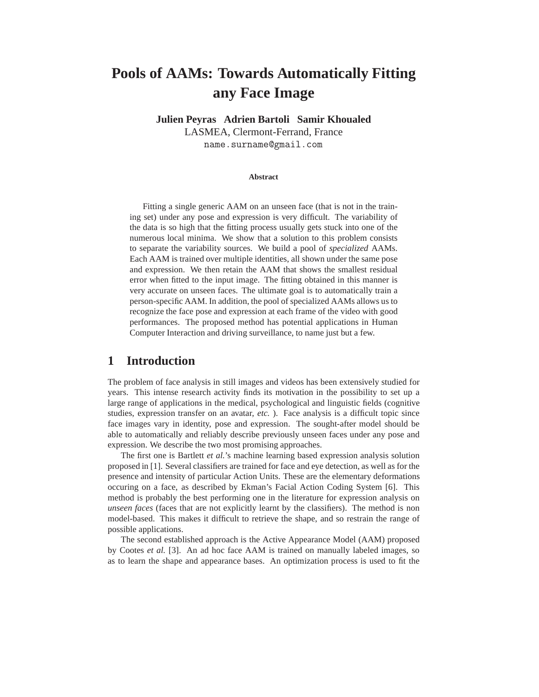# **Pools of AAMs: Towards Automatically Fitting any Face Image**

**Julien Peyras Adrien Bartoli Samir Khoualed** LASMEA, Clermont-Ferrand, France

name.surname@gmail.com

#### **Abstract**

Fitting a single generic AAM on an unseen face (that is not in the training set) under any pose and expression is very difficult. The variability of the data is so high that the fitting process usually gets stuck into one of the numerous local minima. We show that a solution to this problem consists to separate the variability sources. We build a pool of *specialized* AAMs. Each AAM is trained over multiple identities, all shown under the same pose and expression. We then retain the AAM that shows the smallest residual error when fitted to the input image. The fitting obtained in this manner is very accurate on unseen faces. The ultimate goal is to automatically train a person-specific AAM. In addition, the pool of specialized AAMs allows us to recognize the face pose and expression at each frame of the video with good performances. The proposed method has potential applications in Human Computer Interaction and driving surveillance, to name just but a few.

### **1 Introduction**

The problem of face analysis in still images and videos has been extensively studied for years. This intense research activity finds its motivation in the possibility to set up a large range of applications in the medical, psychological and linguistic fields (cognitive studies, expression transfer on an avatar, *etc.* ). Face analysis is a difficult topic since face images vary in identity, pose and expression. The sought-after model should be able to automatically and reliably describe previously unseen faces under any pose and expression. We describe the two most promising approaches.

The first one is Bartlett *et al.*'s machine learning based expression analysis solution proposed in [1]. Several classifiers are trained for face and eye detection, as well as for the presence and intensity of particular Action Units. These are the elementary deformations occuring on a face, as described by Ekman's Facial Action Coding System [6]. This method is probably the best performing one in the literature for expression analysis on *unseen faces* (faces that are not explicitly learnt by the classifiers). The method is non model-based. This makes it difficult to retrieve the shape, and so restrain the range of possible applications.

The second established approach is the Active Appearance Model (AAM) proposed by Cootes *et al.* [3]. An ad hoc face AAM is trained on manually labeled images, so as to learn the shape and appearance bases. An optimization process is used to fit the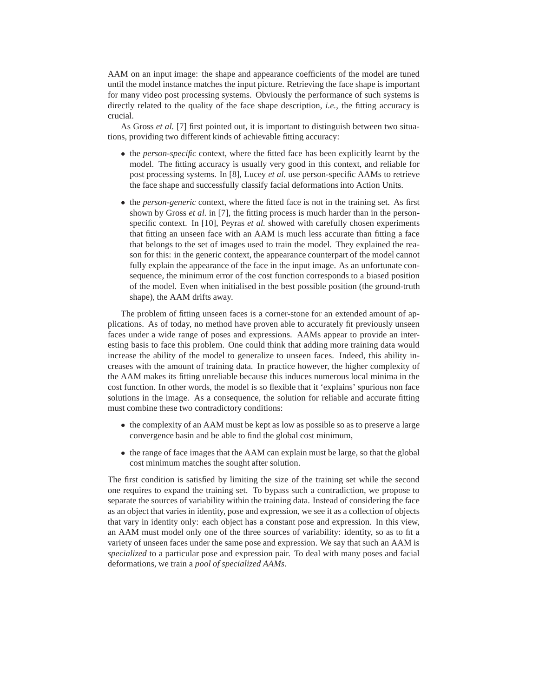AAM on an input image: the shape and appearance coefficients of the model are tuned until the model instance matches the input picture. Retrieving the face shape is important for many video post processing systems. Obviously the performance of such systems is directly related to the quality of the face shape description, *i.e.*, the fitting accuracy is crucial.

As Gross *et al.* [7] first pointed out, it is important to distinguish between two situations, providing two different kinds of achievable fitting accuracy:

- the *person-specific* context, where the fitted face has been explicitly learnt by the model. The fitting accuracy is usually very good in this context, and reliable for post processing systems. In [8], Lucey *et al.* use person-specific AAMs to retrieve the face shape and successfully classify facial deformations into Action Units.
- the *person-generic* context, where the fitted face is not in the training set. As first shown by Gross *et al.* in [7], the fitting process is much harder than in the personspecific context. In [10], Peyras *et al.* showed with carefully chosen experiments that fitting an unseen face with an AAM is much less accurate than fitting a face that belongs to the set of images used to train the model. They explained the reason for this: in the generic context, the appearance counterpart of the model cannot fully explain the appearance of the face in the input image. As an unfortunate consequence, the minimum error of the cost function corresponds to a biased position of the model. Even when initialised in the best possible position (the ground-truth shape), the AAM drifts away.

The problem of fitting unseen faces is a corner-stone for an extended amount of applications. As of today, no method have proven able to accurately fit previously unseen faces under a wide range of poses and expressions. AAMs appear to provide an interesting basis to face this problem. One could think that adding more training data would increase the ability of the model to generalize to unseen faces. Indeed, this ability increases with the amount of training data. In practice however, the higher complexity of the AAM makes its fitting unreliable because this induces numerous local minima in the cost function. In other words, the model is so flexible that it 'explains' spurious non face solutions in the image. As a consequence, the solution for reliable and accurate fitting must combine these two contradictory conditions:

- the complexity of an AAM must be kept as low as possible so as to preserve a large convergence basin and be able to find the global cost minimum,
- the range of face images that the AAM can explain must be large, so that the global cost minimum matches the sought after solution.

The first condition is satisfied by limiting the size of the training set while the second one requires to expand the training set. To bypass such a contradiction, we propose to separate the sources of variability within the training data. Instead of considering the face as an object that varies in identity, pose and expression, we see it as a collection of objects that vary in identity only: each object has a constant pose and expression. In this view, an AAM must model only one of the three sources of variability: identity, so as to fit a variety of unseen faces under the same pose and expression. We say that such an AAM is *specialized* to a particular pose and expression pair. To deal with many poses and facial deformations, we train a *pool of specialized AAMs*.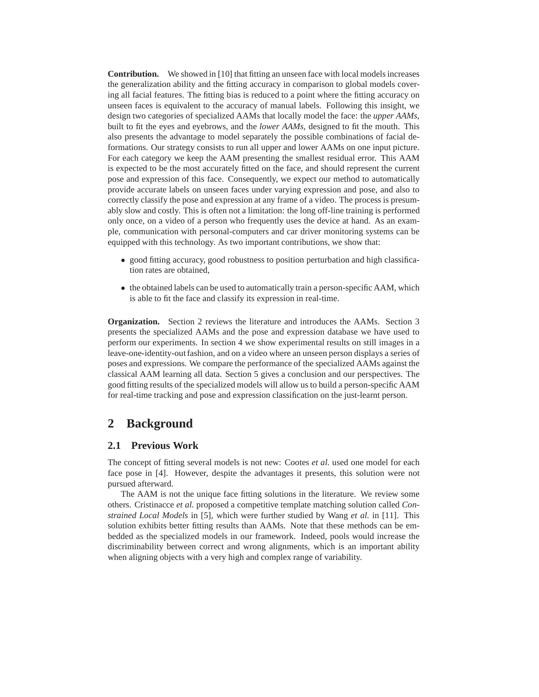**Contribution.** We showed in [10] that fitting an unseen face with local models increases the generalization ability and the fitting accuracy in comparison to global models covering all facial features. The fitting bias is reduced to a point where the fitting accuracy on unseen faces is equivalent to the accuracy of manual labels. Following this insight, we design two categories of specialized AAMs that locally model the face: the *upper AAMs*, built to fit the eyes and eyebrows, and the *lower AAMs*, designed to fit the mouth. This also presents the advantage to model separately the possible combinations of facial deformations. Our strategy consists to run all upper and lower AAMs on one input picture. For each category we keep the AAM presenting the smallest residual error. This AAM is expected to be the most accurately fitted on the face, and should represent the current pose and expression of this face. Consequently, we expect our method to automatically provide accurate labels on unseen faces under varying expression and pose, and also to correctly classify the pose and expression at any frame of a video. The process is presumably slow and costly. This is often not a limitation: the long off-line training is performed only once, on a video of a person who frequently uses the device at hand. As an example, communication with personal-computers and car driver monitoring systems can be equipped with this technology. As two important contributions, we show that:

- good fitting accuracy, good robustness to position perturbation and high classification rates are obtained,
- the obtained labels can be used to automatically train a person-specific AAM, which is able to fit the face and classify its expression in real-time.

**Organization.** Section 2 reviews the literature and introduces the AAMs. Section 3 presents the specialized AAMs and the pose and expression database we have used to perform our experiments. In section 4 we show experimental results on still images in a leave-one-identity-out fashion, and on a video where an unseen person displays a series of poses and expressions. We compare the performance of the specialized AAMs against the classical AAM learning all data. Section 5 gives a conclusion and our perspectives. The good fitting results of the specialized models will allow us to build a person-specific AAM for real-time tracking and pose and expression classification on the just-learnt person.

# **2 Background**

#### **2.1 Previous Work**

The concept of fitting several models is not new: Cootes *et al.* used one model for each face pose in [4]. However, despite the advantages it presents, this solution were not pursued afterward.

The AAM is not the unique face fitting solutions in the literature. We review some others. Cristinacce *et al.* proposed a competitive template matching solution called *Constrained Local Models* in [5], which were further studied by Wang *et al.* in [11]. This solution exhibits better fitting results than AAMs. Note that these methods can be embedded as the specialized models in our framework. Indeed, pools would increase the discriminability between correct and wrong alignments, which is an important ability when aligning objects with a very high and complex range of variability.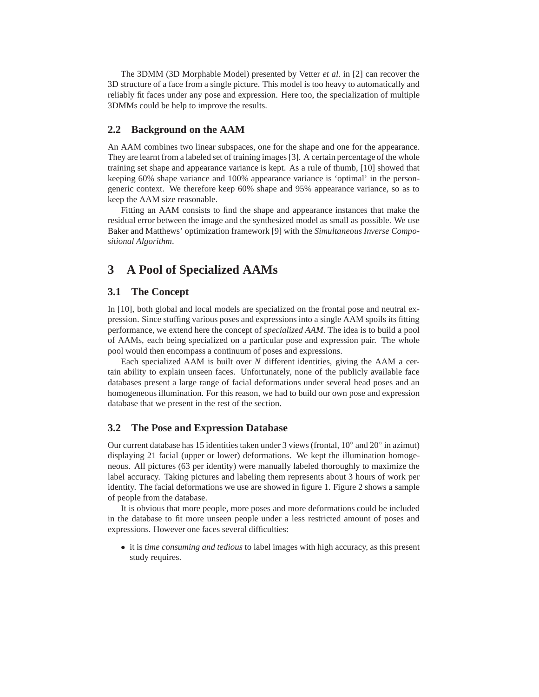The 3DMM (3D Morphable Model) presented by Vetter *et al.* in [2] can recover the 3D structure of a face from a single picture. This model is too heavy to automatically and reliably fit faces under any pose and expression. Here too, the specialization of multiple 3DMMs could be help to improve the results.

#### **2.2 Background on the AAM**

An AAM combines two linear subspaces, one for the shape and one for the appearance. They are learnt from a labeled set of training images [3]. A certain percentage of the whole training set shape and appearance variance is kept. As a rule of thumb, [10] showed that keeping 60% shape variance and 100% appearance variance is 'optimal' in the persongeneric context. We therefore keep 60% shape and 95% appearance variance, so as to keep the AAM size reasonable.

Fitting an AAM consists to find the shape and appearance instances that make the residual error between the image and the synthesized model as small as possible. We use Baker and Matthews' optimization framework [9] with the *Simultaneous Inverse Compositional Algorithm*.

# **3 A Pool of Specialized AAMs**

#### **3.1 The Concept**

In [10], both global and local models are specialized on the frontal pose and neutral expression. Since stuffing various poses and expressions into a single AAM spoils its fitting performance, we extend here the concept of *specialized AAM*. The idea is to build a pool of AAMs, each being specialized on a particular pose and expression pair. The whole pool would then encompass a continuum of poses and expressions.

Each specialized AAM is built over *N* different identities, giving the AAM a certain ability to explain unseen faces. Unfortunately, none of the publicly available face databases present a large range of facial deformations under several head poses and an homogeneous illumination. For this reason, we had to build our own pose and expression database that we present in the rest of the section.

#### **3.2 The Pose and Expression Database**

Our current database has 15 identities taken under 3 views (frontal,  $10^{\circ}$  and  $20^{\circ}$  in azimut) displaying 21 facial (upper or lower) deformations. We kept the illumination homogeneous. All pictures (63 per identity) were manually labeled thoroughly to maximize the label accuracy. Taking pictures and labeling them represents about 3 hours of work per identity. The facial deformations we use are showed in figure 1. Figure 2 shows a sample of people from the database.

It is obvious that more people, more poses and more deformations could be included in the database to fit more unseen people under a less restricted amount of poses and expressions. However one faces several difficulties:

• it is *time consuming and tedious* to label images with high accuracy, as this present study requires.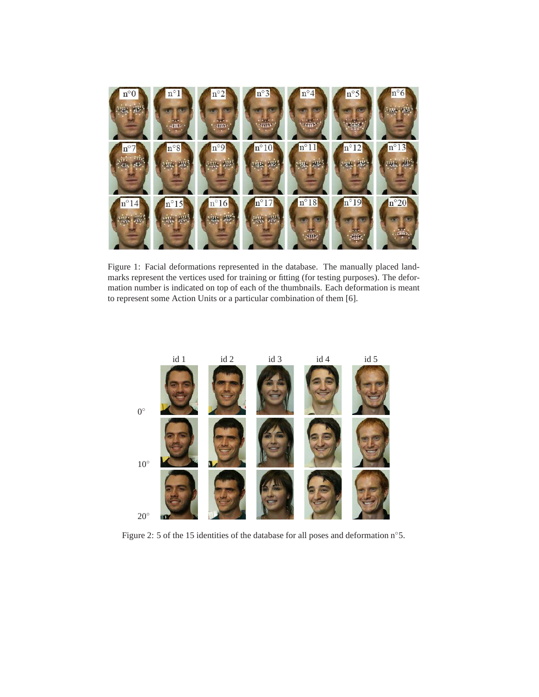

Figure 1: Facial deformations represented in the database. The manually placed landmarks represent the vertices used for training or fitting (for testing purposes). The deformation number is indicated on top of each of the thumbnails. Each deformation is meant to represent some Action Units or a particular combination of them [6].



Figure 2: 5 of the 15 identities of the database for all poses and deformation n◦5.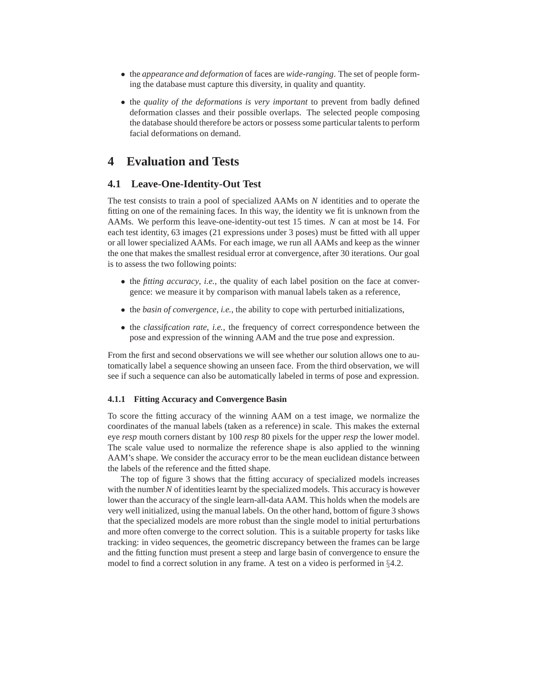- the *appearance and deformation* of faces are *wide-ranging*. The set of people forming the database must capture this diversity, in quality and quantity.
- the *quality of the deformations is very important* to prevent from badly defined deformation classes and their possible overlaps. The selected people composing the database should therefore be actors or possess some particular talents to perform facial deformations on demand.

# **4 Evaluation and Tests**

### **4.1 Leave-One-Identity-Out Test**

The test consists to train a pool of specialized AAMs on *N* identities and to operate the fitting on one of the remaining faces. In this way, the identity we fit is unknown from the AAMs. We perform this leave-one-identity-out test 15 times. *N* can at most be 14. For each test identity, 63 images (21 expressions under 3 poses) must be fitted with all upper or all lower specialized AAMs. For each image, we run all AAMs and keep as the winner the one that makes the smallest residual error at convergence, after 30 iterations. Our goal is to assess the two following points:

- the *fitting accuracy*, *i.e.*, the quality of each label position on the face at convergence: we measure it by comparison with manual labels taken as a reference,
- the *basin of convergence*, *i.e.*, the ability to cope with perturbed initializations,
- the *classification rate*, *i.e.*, the frequency of correct correspondence between the pose and expression of the winning AAM and the true pose and expression.

From the first and second observations we will see whether our solution allows one to automatically label a sequence showing an unseen face. From the third observation, we will see if such a sequence can also be automatically labeled in terms of pose and expression.

#### **4.1.1 Fitting Accuracy and Convergence Basin**

To score the fitting accuracy of the winning AAM on a test image, we normalize the coordinates of the manual labels (taken as a reference) in scale. This makes the external eye *resp* mouth corners distant by 100 *resp* 80 pixels for the upper *resp* the lower model. The scale value used to normalize the reference shape is also applied to the winning AAM's shape. We consider the accuracy error to be the mean euclidean distance between the labels of the reference and the fitted shape.

The top of figure 3 shows that the fitting accuracy of specialized models increases with the number *N* of identities learnt by the specialized models. This accuracy is however lower than the accuracy of the single learn-all-data AAM. This holds when the models are very well initialized, using the manual labels. On the other hand, bottom of figure 3 shows that the specialized models are more robust than the single model to initial perturbations and more often converge to the correct solution. This is a suitable property for tasks like tracking: in video sequences, the geometric discrepancy between the frames can be large and the fitting function must present a steep and large basin of convergence to ensure the model to find a correct solution in any frame. A test on a video is performed in §4.2.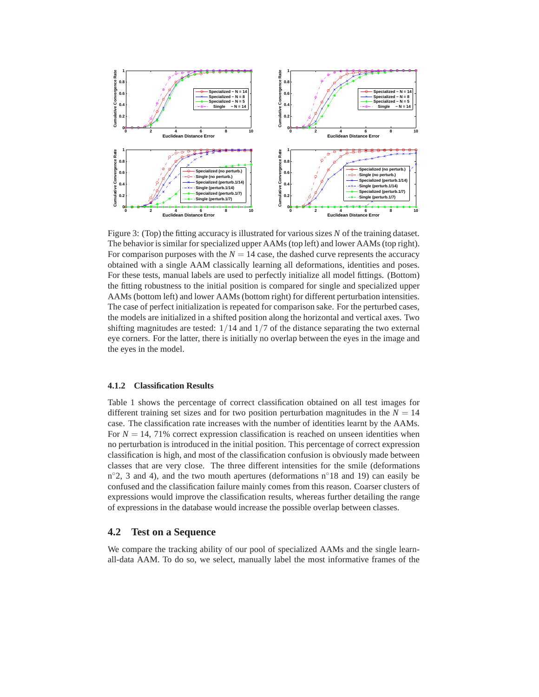

Figure 3: (Top) the fitting accuracy is illustrated for various sizes *N* of the training dataset. The behavior is similar for specialized upper AAMs (top left) and lower AAMs (top right). For comparison purposes with the  $N = 14$  case, the dashed curve represents the accuracy obtained with a single AAM classically learning all deformations, identities and poses. For these tests, manual labels are used to perfectly initialize all model fittings. (Bottom) the fitting robustness to the initial position is compared for single and specialized upper AAMs (bottom left) and lower AAMs (bottom right) for different perturbation intensities. The case of perfect initialization is repeated for comparison sake. For the perturbed cases, the models are initialized in a shifted position along the horizontal and vertical axes. Two shifting magnitudes are tested:  $1/14$  and  $1/7$  of the distance separating the two external eye corners. For the latter, there is initially no overlap between the eyes in the image and the eyes in the model.

#### **4.1.2 Classification Results**

Table 1 shows the percentage of correct classification obtained on all test images for different training set sizes and for two position perturbation magnitudes in the  $N = 14$ case. The classification rate increases with the number of identities learnt by the AAMs. For  $N = 14$ , 71% correct expression classification is reached on unseen identities when no perturbation is introduced in the initial position. This percentage of correct expression classification is high, and most of the classification confusion is obviously made between classes that are very close. The three different intensities for the smile (deformations n°2, 3 and 4), and the two mouth apertures (deformations n°18 and 19) can easily be confused and the classification failure mainly comes from this reason. Coarser clusters of expressions would improve the classification results, whereas further detailing the range of expressions in the database would increase the possible overlap between classes.

#### **4.2 Test on a Sequence**

We compare the tracking ability of our pool of specialized AAMs and the single learnall-data AAM. To do so, we select, manually label the most informative frames of the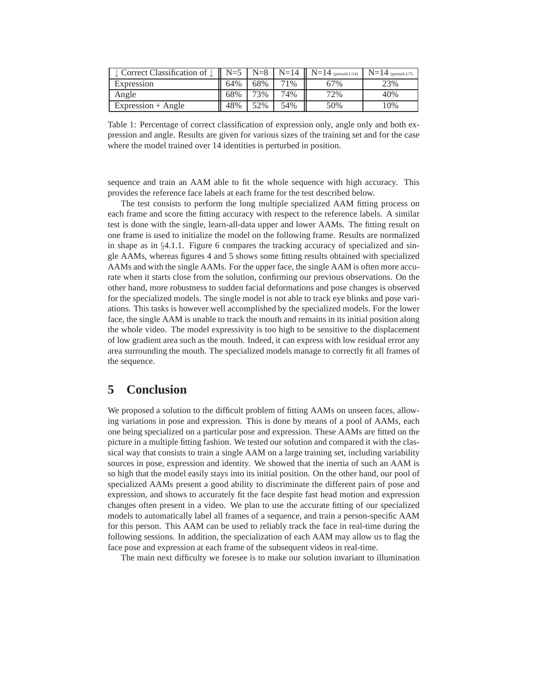| $\perp$ Correct Classification of $\perp$ | $N=5$ | $N=8$ |       | $N=14$   $N=14$ (perturb.1/14) | $N=14$ (perturb.1/7) |
|-------------------------------------------|-------|-------|-------|--------------------------------|----------------------|
| Expression                                | 64%   | 68%   | $1\%$ | 67%                            | 23%                  |
| Angle                                     | 68%   | 73%   | 74%   | 72%                            | 40%                  |
| $Expression + Angle$                      | 48%   | 52%   | 54%   | 50%                            | 10%                  |

Table 1: Percentage of correct classification of expression only, angle only and both expression and angle. Results are given for various sizes of the training set and for the case where the model trained over 14 identities is perturbed in position.

sequence and train an AAM able to fit the whole sequence with high accuracy. This provides the reference face labels at each frame for the test described below.

The test consists to perform the long multiple specialized AAM fitting process on each frame and score the fitting accuracy with respect to the reference labels. A similar test is done with the single, learn-all-data upper and lower AAMs. The fitting result on one frame is used to initialize the model on the following frame. Results are normalized in shape as in  $\S 4.1.1$ . Figure 6 compares the tracking accuracy of specialized and single AAMs, whereas figures 4 and 5 shows some fitting results obtained with specialized AAMs and with the single AAMs. For the upper face, the single AAM is often more accurate when it starts close from the solution, confirming our previous observations. On the other hand, more robustness to sudden facial deformations and pose changes is observed for the specialized models. The single model is not able to track eye blinks and pose variations. This tasks is however well accomplished by the specialized models. For the lower face, the single AAM is unable to track the mouth and remains in its initial position along the whole video. The model expressivity is too high to be sensitive to the displacement of low gradient area such as the mouth. Indeed, it can express with low residual error any area surrounding the mouth. The specialized models manage to correctly fit all frames of the sequence.

## **5 Conclusion**

We proposed a solution to the difficult problem of fitting AAMs on unseen faces, allowing variations in pose and expression. This is done by means of a pool of AAMs, each one being specialized on a particular pose and expression. These AAMs are fitted on the picture in a multiple fitting fashion. We tested our solution and compared it with the classical way that consists to train a single AAM on a large training set, including variability sources in pose, expression and identity. We showed that the inertia of such an AAM is so high that the model easily stays into its initial position. On the other hand, our pool of specialized AAMs present a good ability to discriminate the different pairs of pose and expression, and shows to accurately fit the face despite fast head motion and expression changes often present in a video. We plan to use the accurate fitting of our specialized models to automatically label all frames of a sequence, and train a person-specific AAM for this person. This AAM can be used to reliably track the face in real-time during the following sessions. In addition, the specialization of each AAM may allow us to flag the face pose and expression at each frame of the subsequent videos in real-time.

The main next difficulty we foresee is to make our solution invariant to illumination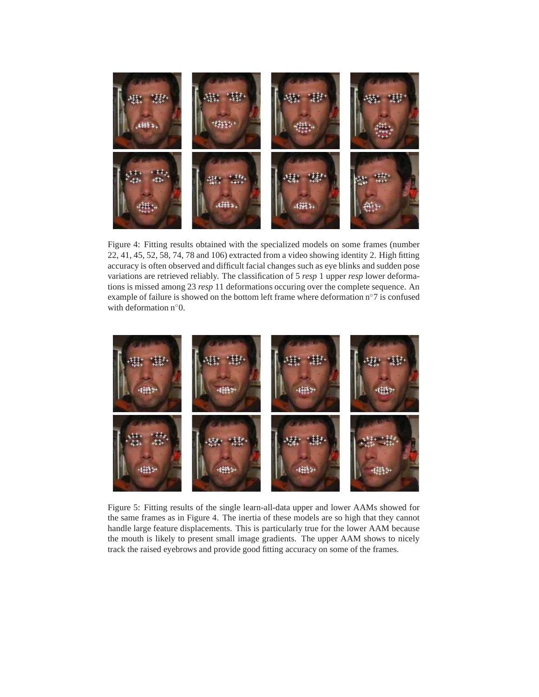

Figure 4: Fitting results obtained with the specialized models on some frames (number 22, 41, 45, 52, 58, 74, 78 and 106) extracted from a video showing identity 2. High fitting accuracy is often observed and difficult facial changes such as eye blinks and sudden pose variations are retrieved reliably. The classification of 5 *resp* 1 upper *resp* lower deformations is missed among 23 *resp* 11 deformations occuring over the complete sequence. An example of failure is showed on the bottom left frame where deformation n◦7 is confused with deformation n<sup>°</sup>0.



Figure 5: Fitting results of the single learn-all-data upper and lower AAMs showed for the same frames as in Figure 4. The inertia of these models are so high that they cannot handle large feature displacements. This is particularly true for the lower AAM because the mouth is likely to present small image gradients. The upper AAM shows to nicely track the raised eyebrows and provide good fitting accuracy on some of the frames.